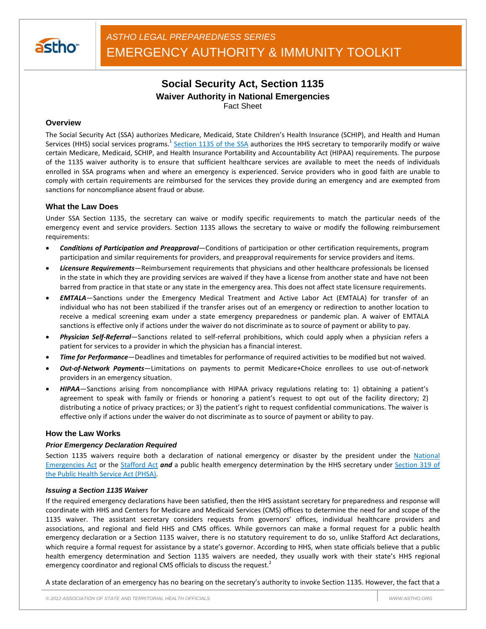

# **Social Security Act, Section 1135 Waiver Authority in National Emergencies** Fact Sheet

### **Overview**

The Social Security Act (SSA) authorizes Medicare, Medicaid, State Children's Health Insurance (SCHIP), and Health and Human Services (HHS) social services programs.<sup>1</sup> Section 1135 of the SSA authorizes the HHS secretary to temporarily modify or waive certain Medicare, Medicaid, SCHIP, and Health Insurance Portability and Accountability Act (HIPAA) requirements. The purpose of the 1135 waiver authority is to ensure that sufficient healthcare services are available to meet the needs of individuals enrolled in SSA programs when and where an emergency is experienced. Service providers who in good faith are unable to comply with certain requirements are reimbursed for the services they provide during an emergency and are exempted from sanctions for noncompliance absent fraud or abuse.

### **What the Law Does**

Under SSA Section 1135, the secretary can waive or modify specific requirements to match the particular needs of the emergency event and service providers. Section 1135 allows the secretary to waive or modify the following reimbursement requirements:

- *Conditions of Participation and Preapproval—*Conditions of participation or other certification requirements, program participation and similar requirements for providers, and preapproval requirements for service providers and items.
- *Licensure Requirements—*Reimbursement requirements that physicians and other healthcare professionals be licensed in the state in which they are providing services are waived if they have a license from another state and have not been barred from practice in that state or any state in the emergency area. This does not affect state licensure requirements.
- *EMTALA—*Sanctions under the Emergency Medical Treatment and Active Labor Act (EMTALA) for transfer of an individual who has not been stabilized if the transfer arises out of an emergency or redirection to another location to receive a medical screening exam under a state emergency preparedness or pandemic plan. A waiver of EMTALA sanctions is effective only if actions under the waiver do not discriminate as to source of payment or ability to pay.
- *Physician Self-Referral—*Sanctions related to self-referral prohibitions, which could apply when a physician refers a patient for services to a provider in which the physician has a financial interest.
- *Time for Performance—*Deadlines and timetables for performance of required activities to be modified but not waived.
- *Out-of-Network Payments—*Limitations on payments to permit Medicare+Choice enrollees to use out-of-network providers in an emergency situation.
- *HIPAA—*Sanctions arising from noncompliance with HIPAA privacy regulations relating to: 1) obtaining a patient's agreement to speak with family or friends or honoring a patient's request to opt out of the facility directory; 2) distributing a notice of privacy practices; or 3) the patient's right to request confidential communications. The waiver is effective only if actions under the waiver do not discriminate as to source of payment or ability to pay.

### **How the Law Works**

### *Prior Emergency Declaration Required*

Section 1135 waivers require both a declaration of national emergency or disaster by the president under the National Emergencies Act or the Stafford Act *and* a public health emergency determination by the HHS secretary under Section 319 of the Public Health Service Act (PHSA).

#### *Issuing a Section 1135 Waiver*

If the required emergency declarations have been satisfied, then the HHS assistant secretary for preparedness and response will coordinate with HHS and Centers for Medicare and Medicaid Services (CMS) offices to determine the need for and scope of the 1135 waiver. The assistant secretary considers requests from governors' offices, individual healthcare providers and associations, and regional and field HHS and CMS offices. While governors can make a formal request for a public health emergency declaration or a Section 1135 waiver, there is no statutory requirement to do so, unlike Stafford Act declarations, which require a formal request for assistance by a state's governor. According to HHS, when state officials believe that a public health emergency determination and Section 1135 waivers are needed, they usually work with their state's HHS regional emergency coordinator and regional CMS officials to discuss the request.<sup>2</sup>

A state declaration of an emergency has no bearing on the secretary's authority to invoke Section 1135. However, the fact that a